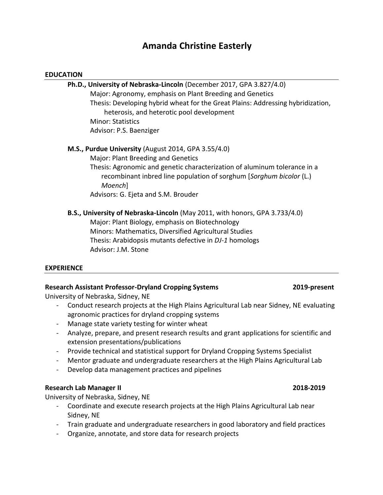# **Amanda Christine Easterly**

#### **EDUCATION**

| Ph.D., University of Nebraska-Lincoln (December 2017, GPA 3.827/4.0)            |
|---------------------------------------------------------------------------------|
| Major: Agronomy, emphasis on Plant Breeding and Genetics                        |
| Thesis: Developing hybrid wheat for the Great Plains: Addressing hybridization, |
| heterosis, and heterotic pool development                                       |
| <b>Minor: Statistics</b>                                                        |
| Advisor: P.S. Baenziger                                                         |
| M.S., Purdue University (August 2014, GPA 3.55/4.0)                             |
| Major: Plant Breeding and Genetics                                              |

Thesis: Agronomic and genetic characterization of aluminum tolerance in a recombinant inbred line population of sorghum [*Sorghum bicolor* (L.) *Moench*] Advisors: G. Ejeta and S.M. Brouder

# **B.S., University of Nebraska-Lincoln** (May 2011, with honors, GPA 3.733/4.0) Major: Plant Biology, emphasis on Biotechnology

Minors: Mathematics, Diversified Agricultural Studies Thesis: Arabidopsis mutants defective in *DJ-1* homologs Advisor: J.M. Stone

# **EXPERIENCE**

# **Research Assistant Professor-Dryland Cropping Systems 2019-present**

University of Nebraska, Sidney, NE

- Conduct research projects at the High Plains Agricultural Lab near Sidney, NE evaluating agronomic practices for dryland cropping systems
- Manage state variety testing for winter wheat
- Analyze, prepare, and present research results and grant applications for scientific and extension presentations/publications
- Provide technical and statistical support for Dryland Cropping Systems Specialist
- Mentor graduate and undergraduate researchers at the High Plains Agricultural Lab
- Develop data management practices and pipelines

#### **Research Lab Manager II 2018-2019**

University of Nebraska, Sidney, NE

- Coordinate and execute research projects at the High Plains Agricultural Lab near Sidney, NE
- Train graduate and undergraduate researchers in good laboratory and field practices
- Organize, annotate, and store data for research projects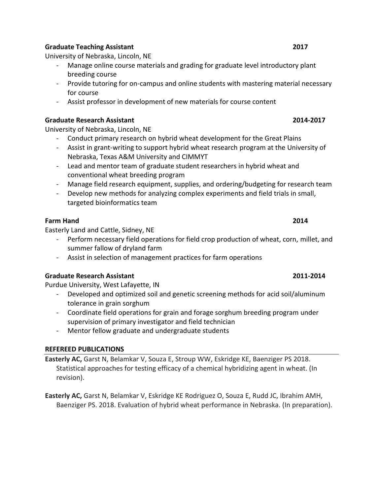### **Graduate Teaching Assistant 2017**

University of Nebraska, Lincoln, NE

- Manage online course materials and grading for graduate level introductory plant breeding course
- Provide tutoring for on-campus and online students with mastering material necessary for course
- Assist professor in development of new materials for course content

### **Graduate Research Assistant 2014-2017**

University of Nebraska, Lincoln, NE

- Conduct primary research on hybrid wheat development for the Great Plains
- Assist in grant-writing to support hybrid wheat research program at the University of Nebraska, Texas A&M University and CIMMYT
- Lead and mentor team of graduate student researchers in hybrid wheat and conventional wheat breeding program
- Manage field research equipment, supplies, and ordering/budgeting for research team
- Develop new methods for analyzing complex experiments and field trials in small, targeted bioinformatics team

# **Farm Hand 2014**

Easterly Land and Cattle, Sidney, NE

- Perform necessary field operations for field crop production of wheat, corn, millet, and summer fallow of dryland farm
- Assist in selection of management practices for farm operations

# **Graduate Research Assistant 2011-2014**

Purdue University, West Lafayette, IN

- Developed and optimized soil and genetic screening methods for acid soil/aluminum tolerance in grain sorghum
- Coordinate field operations for grain and forage sorghum breeding program under supervision of primary investigator and field technician
- Mentor fellow graduate and undergraduate students

# **REFEREED PUBLICATIONS**

**Easterly AC,** Garst N, Belamkar V, Souza E, Stroup WW, Eskridge KE, Baenziger PS 2018. Statistical approaches for testing efficacy of a chemical hybridizing agent in wheat. (In revision).

**Easterly AC,** Garst N, Belamkar V, Eskridge KE Rodriguez O, Souza E, Rudd JC, Ibrahim AMH, Baenziger PS. 2018. Evaluation of hybrid wheat performance in Nebraska. (In preparation).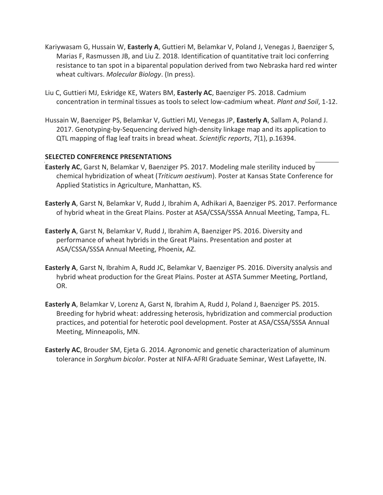- Kariywasam G, Hussain W, **Easterly A**, Guttieri M, Belamkar V, Poland J, Venegas J, Baenziger S, Marias F, Rasmussen JB, and Liu Z. 2018. Identification of quantitative trait loci conferring resistance to tan spot in a biparental population derived from two Nebraska hard red winter wheat cultivars. *Molecular Biology*. (In press).
- Liu C, Guttieri MJ, Eskridge KE, Waters BM, **Easterly AC**, Baenziger PS. 2018. Cadmium concentration in terminal tissues as tools to select low-cadmium wheat. *Plant and Soil*, 1-12.
- Hussain W, Baenziger PS, Belamkar V, Guttieri MJ, Venegas JP, **Easterly A**, Sallam A, Poland J. 2017. Genotyping-by-Sequencing derived high-density linkage map and its application to QTL mapping of flag leaf traits in bread wheat. *Scientific reports*, *7*(1), p.16394.

#### **SELECTED CONFERENCE PRESENTATIONS**

- **Easterly AC**, Garst N, Belamkar V, Baenziger PS. 2017. Modeling male sterility induced by chemical hybridization of wheat (*Triticum aestivum*). Poster at Kansas State Conference for Applied Statistics in Agriculture, Manhattan, KS.
- **Easterly A**, Garst N, Belamkar V, Rudd J, Ibrahim A, Adhikari A, Baenziger PS. 2017. Performance of hybrid wheat in the Great Plains. Poster at ASA/CSSA/SSSA Annual Meeting, Tampa, FL.
- **Easterly A**, Garst N, Belamkar V, Rudd J, Ibrahim A, Baenziger PS. 2016. Diversity and performance of wheat hybrids in the Great Plains. Presentation and poster at ASA/CSSA/SSSA Annual Meeting, Phoenix, AZ.
- **Easterly A**, Garst N, Ibrahim A, Rudd JC, Belamkar V, Baenziger PS. 2016. Diversity analysis and hybrid wheat production for the Great Plains. Poster at ASTA Summer Meeting, Portland, OR.
- **Easterly A**, Belamkar V, Lorenz A, Garst N, Ibrahim A, Rudd J, Poland J, Baenziger PS. 2015. Breeding for hybrid wheat: addressing heterosis, hybridization and commercial production practices, and potential for heterotic pool development. Poster at ASA/CSSA/SSSA Annual Meeting, Minneapolis, MN.
- **Easterly AC**, Brouder SM, Ejeta G. 2014. Agronomic and genetic characterization of aluminum tolerance in *Sorghum bicolor*. Poster at NIFA-AFRI Graduate Seminar, West Lafayette, IN.